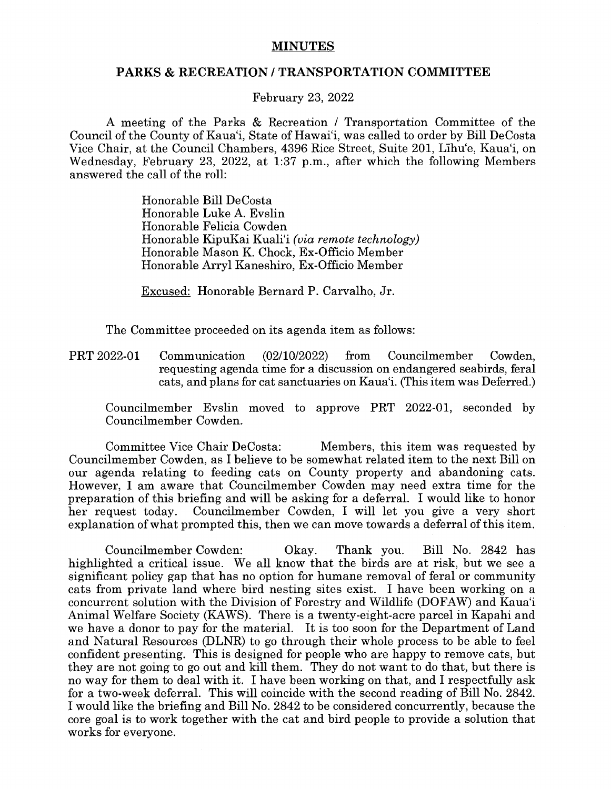## **MINUTES**

## **PARKS** & **RECREATION/ TRANSPORTATION COMMITTEE**

February 23, 2022

A meeting of the Parks & Recreation / Transportation Committee of the Council of the County of Kaua'i, State of Hawai'i, was called to order by Bill DeCosta Vice Chair, at the Council Chambers, 4396 Rice Street, Suite 201, Lihu'e, Kaua'i, on Wednesday, February 23, 2022, at 1:37 p.m., after which the following Members answered the call of the roll:

> Honorable Bill DeCosta Honorable Luke A. Evslin Honorable Felicia Cowden Honorable KipuKai Kuali'i *(via remote technology)*  Honorable Mason K. Chock, Ex-Officio Member Honorable Arryl Kaneshiro, Ex-Officio Member

Excused: Honorable Bernard P. Carvalho, Jr.

The Committee proceeded on its agenda item as follows:

PRT 2022-01 Communication (02/10/2022) from Councilmember Cowden, requesting agenda time for a discussion on endangered seabirds, feral cats, and plans for cat sanctuaries on Kaua'i. (This item was Deferred.)

Councilmember Evslin moved to approve PRT 2022-01, seconded by Councilmember Cowden.

Committee Vice Chair DeCosta: Members, this item was requested by Councilmember Cowden, as I believe to be somewhat related item to the next Bill on our agenda relating to feeding cats on County property and abandoning cats. However, I am aware that Councilmember Cowden may need extra time for the preparation of this briefing and will be asking for a deferral. I would like to honor her request today. Councilmember Cowden, I will let you give a very short explanation of what prompted this, then we can move towards a deferral of this item.

Councilmember Cowden: Okay. Thank you. Bill No. 2842 has highlighted a critical issue. We all know that the birds are at risk, but we see a significant policy gap that has no option for humane removal of feral or community cats from private land where bird nesting sites exist. I have been working on a concurrent solution with the Division of Forestry and Wildlife (DOFAW) and Kaua'i Animal Welfare Society (KAWS). There is a twenty-eight-acre parcel in Kapahi and we have a donor to pay for the material. It is too soon for the Department of Land and Natural Resources (DLNR) to go through their whole process to be able to feel confident presenting. This is designed for people who are happy to remove cats, but they are not going to go out and kill them. They do not want to do that, but there is no way for them to deal with it. I have been working on that, and I respectfully ask for a two-week deferral. This will coincide with the second reading of Bill No. 2842. I would like the briefing and Bill No. 2842 to be considered concurrently, because the core goal is to work together with the cat and bird people to provide a solution that works for everyone.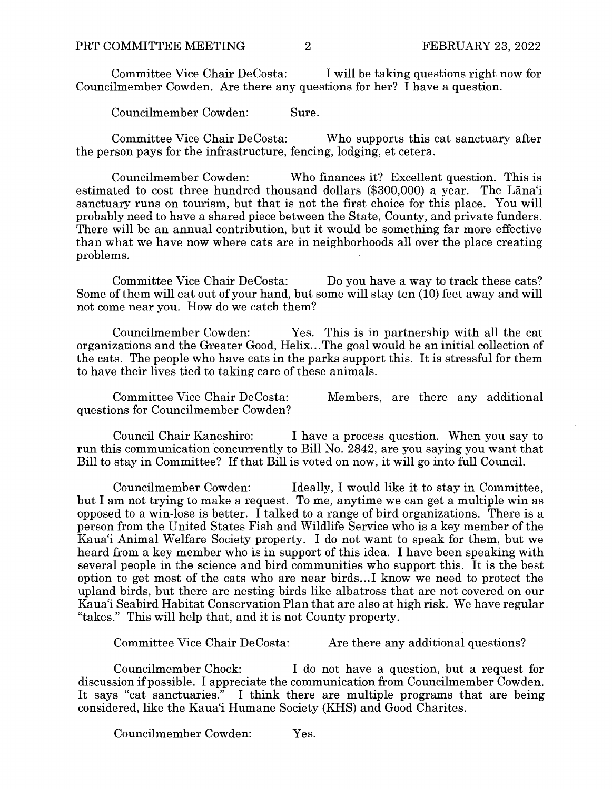Committee Vice Chair DeCosta: I will be taking questions right now for Councilmember Cowden. Are there any questions for her? I have a question.

Councilmember Cowden: Sure.

Committee Vice Chair DeCosta: Who supports this cat sanctuary after the person pays for the infrastructure, fencing, lodging, et cetera.

Councilmember Cowden: Who finances it? Excellent question. This is estimated to cost three hundred thousand dollars (\$300,000) a year. The Lana'i sanctuary runs on tourism, but that is not the first choice for this place. You will probably need to have a shared piece between the State, County, and private funders. There will be an annual contribution, but it would be something far more effective than what we have now where cats are in neighborhoods all over the place creating problems.

Committee Vice Chair DeCosta: Do you have a way to track these cats? Some of them will eat out of your hand, but some will stay ten (10) feet away and will not come near you. How do we catch them?

Councilmember Cowden: Yes. This is in partnership with all the cat organizations and the Greater Good, Helix...The goal would be an initial collection of the cats. The people who have cats in the parks support this. It is stressful for them to have their lives tied to taking care of these animals.

Committee Vice Chair DeCosta: questions for Councilmember Cowden? Members, are there any additional

Council Chair Kaneshiro: I have a process question. When you say to run this communication concurrently to Bill No. 2842, are you saying you want that Bill to stay in Committee? If that Bill is voted on now, it will go into full Council.

Councilmember Cowden: Ideally, I would like it to stay in Committee, but I am not trying to make a request. To me, anytime we can get a multiple win as opposed to a win-lose is better. I talked to a range of bird organizations. There is a person from the United States Fish and Wildlife Service who is a key member of the Kaua'i Animal Welfare Society property. I do not want to speak for them, but we heard from a key member who is in support of this idea. I have been speaking with several people in the science and bird communities who support this. It is the best option to get most of the cats who are near birds ... ! know we need to protect the upland birds, but there are nesting birds like albatross that are not covered on our Kaua'i Seabird Habitat Conservation Plan that are also at high risk. We have regular "takes." This will help that, and it is not County property.

Committee Vice Chair DeCosta: Are there any additional questions?

Councilmember Chock: I do not have a question, but a request for discussion if possible. I appreciate the communication from Councilmember Cowden. It says "cat sanctuaries." I think there are multiple programs that are being considered, like the Kaua'i Humane Society (KHS) and Good Charites.

Councilmember Cowden: Yes.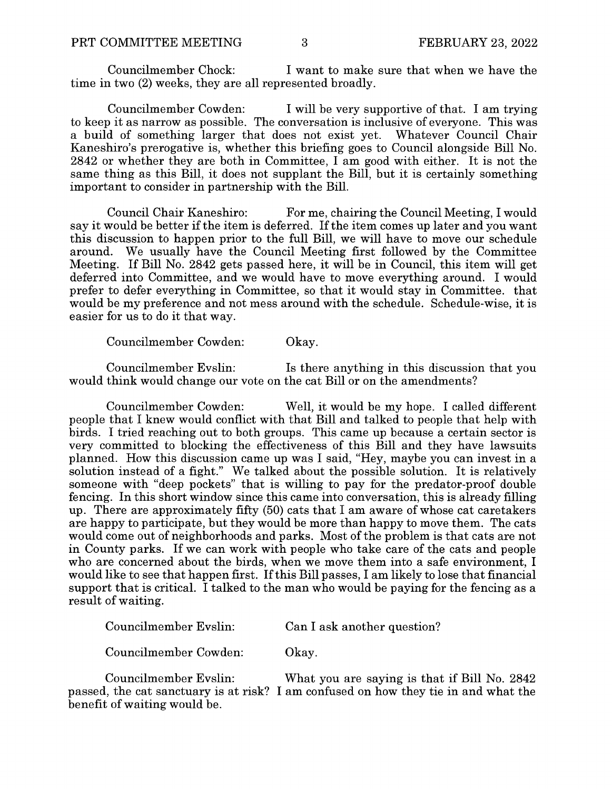Councilmember Chock: I want to make sure that when we have the time in two (2) weeks, they are all represented broadly.

Councilmember Cowden: I will be very supportive of that. I am trying to keep it as narrow as possible. The conversation is inclusive of everyone. This was a build of something larger that does not exist yet. Whatever Council Chair Kaneshiro's prerogative is, whether this briefing goes to Council alongside Bill No. 2842 or whether they are both in Committee, I am good with either. It is not the same thing as this Bill, it does not supplant the Bill, but it is certainly something important to consider in partnership with the Bill.

Council Chair Kaneshiro: For me, chairing the Council Meeting, I would say it would be better if the item is deferred. If the item comes up later and you want this discussion to happen prior to the full Bill, we will have to move our schedule around. We usually have the Council Meeting first followed by the Committee Meeting. If Bill No. 2842 gets passed here, it will be in Council, this item will get deferred into Committee, and we would have to move everything around. I would prefer to defer everything in Committee, so that it would stay in Committee. that would be my preference and not mess around with the schedule. Schedule-wise, it is easier for us to do it that way.

Councilmember Cowden: Okay.

Councilmember Evslin: Is there anything in this discussion that you would think would change our vote on the cat Bill or on the amendments?

Councilmember Cowden: Well, it would be my hope. I called different people that I knew would conflict with that Bill and talked to people that help with birds. I tried reaching out to both groups. This came up because a certain sector is very committed to blocking the effectiveness of this Bill and they have lawsuits planned. How this discussion came up was I said, "Hey, maybe you can invest in a solution instead of a fight." We talked about the possible solution. It is relatively someone with "deep pockets" that is willing to pay for the predator-proof double fencing. In this short window since this came into conversation, this is already filling up. There are approximately fifty (50) cats that I am aware of whose cat caretakers are happy to participate, but they would be more than happy to move them. The cats would come out of neighborhoods and parks. Most of the problem is that cats are not in County parks. If we can work with people who take care of the cats and people who are concerned about the birds, when we move them into a safe environment, I would like to see that happen first. If this Bill passes, I am likely to lose that financial support that is critical. I talked to the man who would be paying for the fencing as a result of waiting.

| Councilmember Evslin: | Can I ask another question? |
|-----------------------|-----------------------------|
| Councilmember Cowden: | Okay.                       |

Councilmember Evslin: What you are saying is that if Bill No. 2842 passed, the cat sanctuary is at risk? I am confused on how they tie in and what the benefit of waiting would be.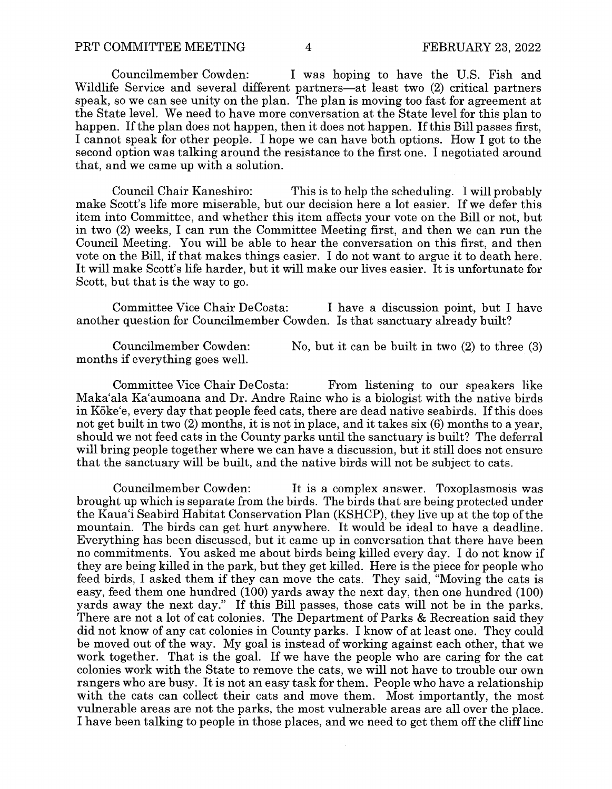Councilmember Cowden: I was hoping to have the U.S. Fish and Wildlife Service and several different partners—at least two (2) critical partners speak, so we can see unity on the plan. The plan is moving too fast for agreement at the State level. We need to have more conversation at the State level for this plan to happen. If the plan does not happen, then it does not happen. If this Bill passes first, I cannot speak for other people. I hope we can have both options. How I got to the second option was talking around the resistance to the first one. I negotiated around that, and we came up with a solution.

Council Chair Kaneshiro: This is to help the scheduling. I will probably make Scott's life more miserable, but our decision here a lot easier. If we defer this item into Committee, and whether this item affects your vote on the Bill or not, but in two (2) weeks, I can run the Committee Meeting first, and then we can run the Council Meeting. You will be able to hear the conversation on this first, and then vote on the Bill, if that makes things easier. I do not want to argue it to death here. It will make Scott's life harder, but it will make our lives easier. It is unfortunate for Scott, but that is the way to go.

Committee Vice Chair DeCosta: I have a discussion point, but I have another question for Councilmember Cowden. Is that sanctuary already built?

Councilmember Cowden: months if everything goes well. No, but it can be built in two (2) to three (3)

Committee Vice Chair DeCosta: From listening to our speakers like Maka'ala Ka'aumoana and Dr. Andre Raine who is a biologist with the native birds in Kōke'e, every day that people feed cats, there are dead native seabirds. If this does not get built in two (2) months, it is not in place, and it takes six (6) months to a year, should we not feed cats in the County parks until the sanctuary is built? The deferral will bring people together where we can have a discussion, but it still does not ensure that the sanctuary will be built, and the native birds will not be subject to cats.

Councilmember Cowden: It is a complex answer. Toxoplasmosis was brought up which is separate from the birds. The birds that are being protected under the Kaua'i Seabird Habitat Conservation Plan (KSHCP), they live up at the top of the mountain. The birds can get hurt anywhere. It would be ideal to have a deadline. Everything has been discussed, but it came up in conversation that there have been no commitments. You asked me about birds being killed every day. I do not know if they are being killed in the park, but they get killed. Here is the piece for people who feed birds, I asked them if they can move the cats. They said, "Moving the cats is easy, feed them one hundred (100) yards away the next day, then one hundred (100) yards away the next day." If this Bill passes, those cats will not be in the parks. There are not a lot of cat colonies. The Department of Parks & Recreation said they did not know of any cat colonies in County parks. I know of at least one. They could be moved out of the way. My goal is instead of working against each other, that we work together. That is the goal. If we have the people who are caring for the cat colonies work with the State to remove the cats, we will not have to trouble our own rangers who are busy. It is not an easy task for them. People who have a relationship with the cats can collect their cats and move them. Most importantly, the most vulnerable areas are not the parks, the most vulnerable areas are all over the place. I have been talking to people in those places, and we need to get them off the cliff line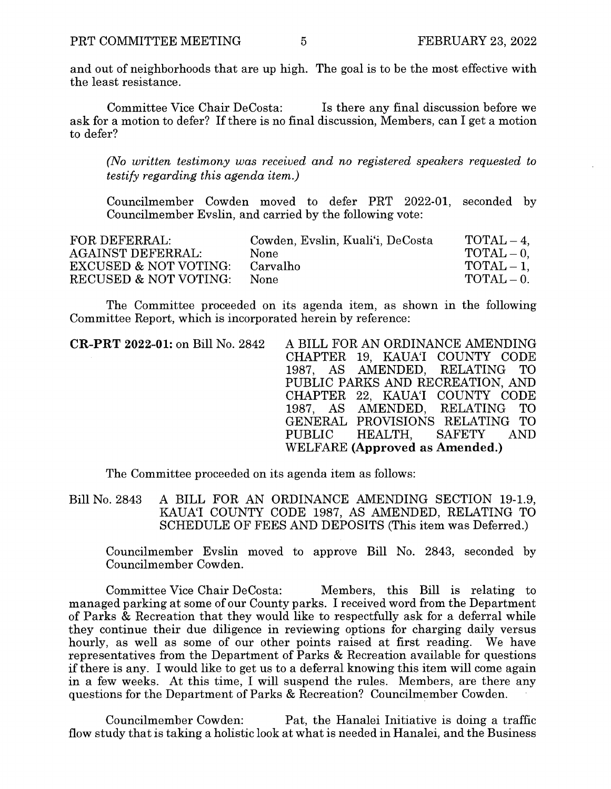and out of neighborhoods that are up high. The goal is to be the most effective with the least resistance.

Committee Vice Chair DeCosta: Is there any final discussion before we ask for a motion to defer? If there is no final discussion, Members, can I get a motion to defer?

*(No written testimony was received and no registered speakers requested to testify regarding this agenda item.)* 

Councilmember Cowden moved to defer PRT 2022-01, seconded by Councilmember Evslin, and carried by the following vote:

| FOR DEFERRAL:                    | Cowden, Evslin, Kuali'i, DeCosta | $\text{TOTAL} - 4$ . |
|----------------------------------|----------------------------------|----------------------|
| <b>AGAINST DEFERRAL:</b>         | None                             | $\text{TOTAL} - 0.$  |
| <b>EXCUSED &amp; NOT VOTING:</b> | Carvalho                         | $\text{TOTAL} - 1.$  |
| RECUSED & NOT VOTING:            | <b>None</b>                      | $\text{TOTAL} = 0.$  |

The Committee proceeded on its agenda item, as shown in the following Committee Report, which is incorporated herein by reference:

| <b>CR-PRT 2022-01:</b> on Bill No. 2842 A BILL FOR AN ORDINANCE AMENDING |
|--------------------------------------------------------------------------|
| CHAPTER 19, KAUAT COUNTY CODE                                            |
| 1987, AS AMENDED, RELATING TO                                            |
| PUBLIC PARKS AND RECREATION, AND                                         |
| CHAPTER 22, KAUA'I COUNTY CODE                                           |
| 1987, AS AMENDED, RELATING TO                                            |
| GENERAL PROVISIONS RELATING TO                                           |
| PUBLIC HEALTH, SAFETY AND                                                |
| <b>WELFARE</b> (Approved as Amended.)                                    |
|                                                                          |

The Committee proceeded on its agenda item as follows:

Bill No. 2843 A BILL FOR AN ORDINANCE AMENDING SECTION 19-1.9, KAUA'I COUNTY CODE 1987, AS AMENDED, RELATING TO SCHEDULE OF FEES AND DEPOSITS (This item was Deferred.)

Councilmember Evslin moved to approve Bill No. 2843, seconded by Councilmember Cowden.

Committee Vice Chair DeCosta: Members, this Bill is relating to managed parking at some of our County parks. I received word from the Department of Parks & Recreation that they would like to respectfully ask for a deferral while they continue their due diligence in reviewing options for charging daily versus hourly, as well as some of our other points raised at first reading. We have representatives from the Department of Parks & Recreation available for questions if there is any. I would like to get us to a deferral knowing this item will come again in a few weeks. At this time, I will suspend the rules. Members, are there any questions for the Department of Parks & Recreation? Councilmember Cowden.

Councilmember Cowden: Pat, the Hanalei Initiative is doing a traffic flow study that is taking a holistic look at what is needed in Hanalei, and the Business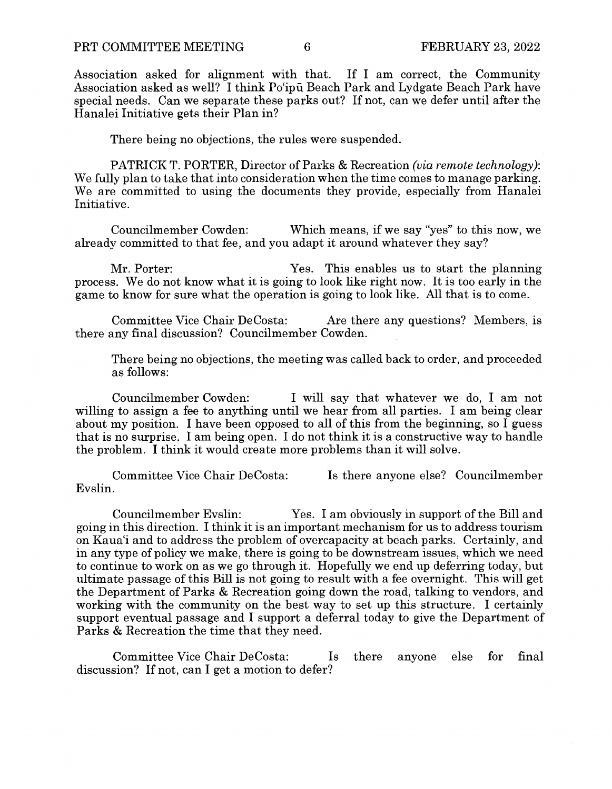Association asked for alignment with that. If I am correct, the Community Association asked as well? I think Po'ipii Beach Park and Lydgate Beach Park have special needs. Can we separate these parks out? If not, can we defer until after the Hanalei Initiative gets their Plan in?

There being no objections, the rules were suspended.

PATRICK T. PORTER, Director of Parks & Recreation *(via remote technology):*  We fully plan to take that into consideration when the time comes to manage parking. We are committed to using the documents they provide, especially from Hanalei Initiative.

Councilmember Cowden: Which means, if we say "yes" to this now, we already committed to that fee, and you adapt it around whatever they say?

Mr. Porter: Yes. This enables us to start the planning process. We do not know what it is going to look like right now. It is too early in the game to know for sure what the operation is going to look like. All that is to come.

Committee Vice Chair DeCosta: Are there any questions? Members, is there any final discussion? Councilmember Cowden.

There being no objections, the meeting was called back to order, and proceeded as follows:

Councilmember Cowden: I will say that whatever we do, I am not willing to assign a fee to anything until we hear from all parties. I am being clear about my position. I have been opposed to all of this from the beginning, so I guess that is no surprise. I am being open. I do not think it is a constructive way to handle the problem. I think it would create more problems than it will solve.

Committee Vice Chair DeCosta: Is there anyone else? Councilmember Evslin.

Councilmember Evslin: Yes. I am obviously in support of the Bill and going in this direction. I think it is an important mechanism for us to address tourism on Kaua'i and to address the problem of overcapacity at beach parks. Certainly, and in any type of policy we make, there is going to be downstream issues, which we need to continue to work on as we go through it. Hopefully we end up deferring today, but ultimate passage of this Bill is not going to result with a fee overnight. This will get the Department of Parks & Recreation going down the road, talking to vendors, and working with the community on the best way to set up this structure. I certainly support eventual passage and I support a deferral today to give the Department of Parks & Recreation the time that they need.

Committee Vice Chair DeCosta: Is there anyone else for final discussion? If not, can I get a motion to defer?